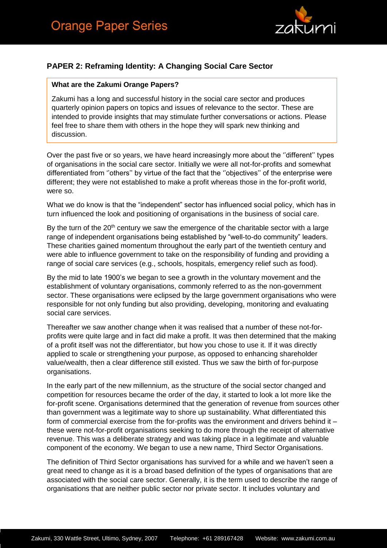

## **PAPER 2: Reframing Identity: A Changing Social Care Sector**

## **What are the Zakumi Orange Papers?**

Zakumi has a long and successful history in the social care sector and produces quarterly opinion papers on topics and issues of relevance to the sector. These are intended to provide insights that may stimulate further conversations or actions. Please feel free to share them with others in the hope they will spark new thinking and discussion.

Over the past five or so years, we have heard increasingly more about the ''different'' types of organisations in the social care sector. Initially we were all not-for-profits and somewhat differentiated from ''others'' by virtue of the fact that the ''objectives'' of the enterprise were different; they were not established to make a profit whereas those in the for-profit world, were so.

What we do know is that the "independent" sector has influenced social policy, which has in turn influenced the look and positioning of organisations in the business of social care.

By the turn of the  $20<sup>th</sup>$  century we saw the emergence of the charitable sector with a large range of independent organisations being established by "well-to-do community" leaders. These charities gained momentum throughout the early part of the twentieth century and were able to influence government to take on the responsibility of funding and providing a range of social care services (e.g., schools, hospitals, emergency relief such as food).

By the mid to late 1900's we began to see a growth in the voluntary movement and the establishment of voluntary organisations, commonly referred to as the non-government sector. These organisations were eclipsed by the large government organisations who were responsible for not only funding but also providing, developing, monitoring and evaluating social care services.

Thereafter we saw another change when it was realised that a number of these not-forprofits were quite large and in fact did make a profit. It was then determined that the making of a profit itself was not the differentiator, but how you chose to use it. If it was directly applied to scale or strengthening your purpose, as opposed to enhancing shareholder value/wealth, then a clear difference still existed. Thus we saw the birth of for-purpose organisations.

In the early part of the new millennium, as the structure of the social sector changed and competition for resources became the order of the day, it started to look a lot more like the for-profit scene. Organisations determined that the generation of revenue from sources other than government was a legitimate way to shore up sustainability. What differentiated this form of commercial exercise from the for-profits was the environment and drivers behind it – these were not-for-profit organisations seeking to do more through the receipt of alternative revenue. This was a deliberate strategy and was taking place in a legitimate and valuable component of the economy. We began to use a new name, Third Sector Organisations.

The definition of Third Sector organisations has survived for a while and we haven't seen a great need to change as it is a broad based definition of the types of organisations that are associated with the social care sector. Generally, it is the term used to describe the range of organisations that are neither public sector nor private sector. It includes voluntary and